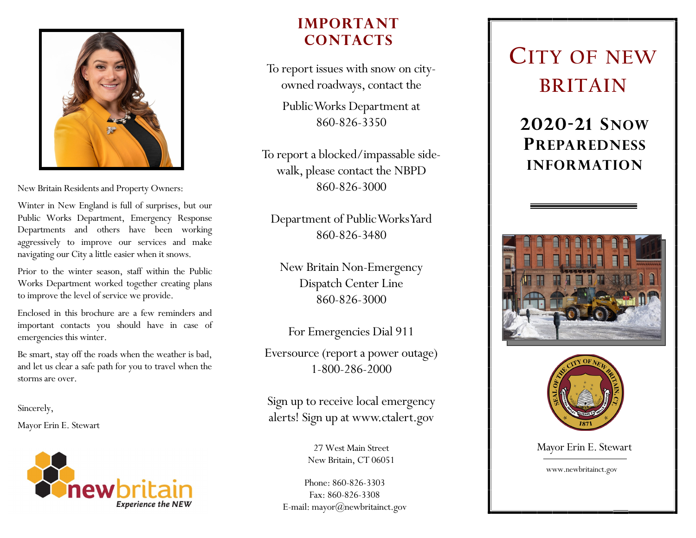

New Britain Residents and Property Owners:

Winter in New England is full of surprises, but our Public Works Department, Emergency Response Departments and others have been working aggressively to improve our services and make navigating our City a little easier when it snows.

Prior to the winter season, staff within the Public Works Department worked together creating plans to improve the level of service we provide.

Enclosed in this brochure are a few reminders and important contacts you should have in case of emergencies this winter.

Be smart, stay off the roads when the weather is bad, and let us clear a safe path for you to travel when the storms are over.

Sincerely,

Mayor Erin E. Stewart



### **IMPORTANT CONTACTS**

To report issues with snow on cityowned roadways, contact the

Public Works Department at 860-826-3350

To report a blocked/impassable sidewalk, please contact the NBPD 860-826-3000

Department of Public Works Yard 860-826-3480

New Britain Non-Emergency Dispatch Center Line 860-826-3000

For Emergencies Dial 911

Eversource (report a power outage) 1-800-286-2000

Sign up to receive local emergency alerts! Sign up at www.ctalert.gov

> 27 West Main Street New Britain, CT 06051

Phone: 860-826-3303 Fax: 860-826-3308 E-mail: mayor@newbritainct.gov

## **CITY OF NEW BRITAIN**

**2020-21 SNOW PREPAREDNESS INFORMATION**





Mayor Erin E. Stewart

www.newbritainct.gov